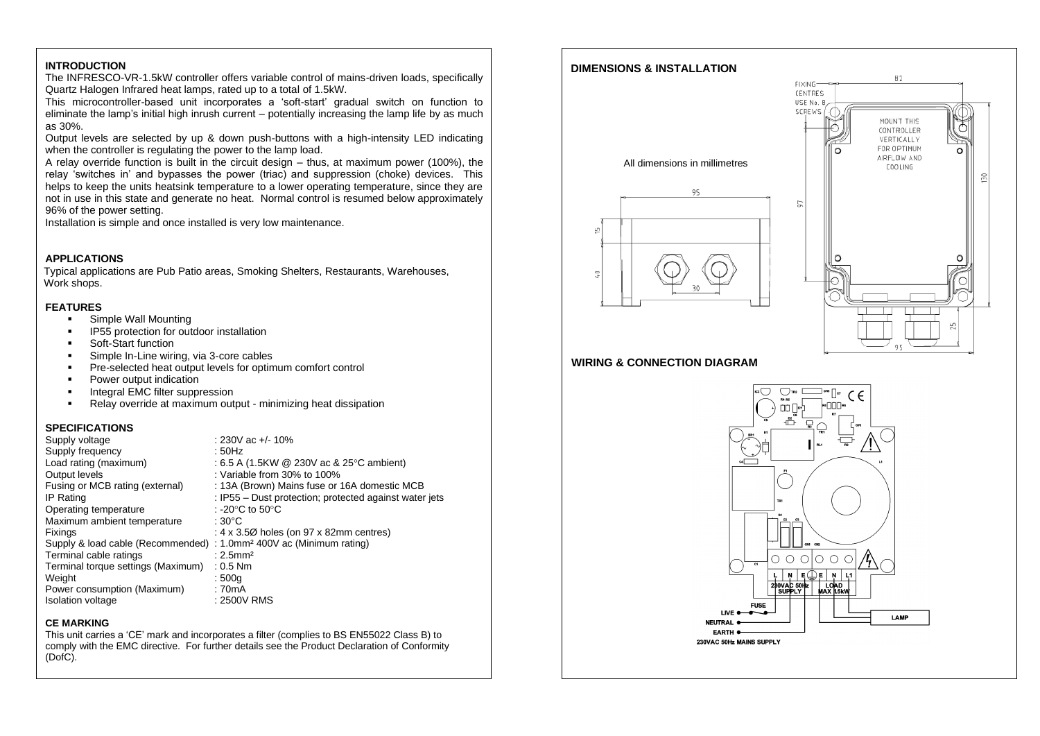## **INTRODUCTION**

The INFRESCO-VR-1.5kW controller offers variable control of mains-driven loads, specifically Quartz Halogen Infrared heat lamps, rated up to a total of 1.5kW.

This microcontroller-based unit incorporates a 'soft-start' gradual switch on function to eliminate the lamp's initial high inrush current – potentially increasing the lamp life by as much as 30%.

Output levels are selected by up & down push-buttons with a high-intensity LED indicating when the controller is regulating the power to the lamp load.

A relay override function is built in the circuit design – thus, at maximum power (100%), the relay 'switches in' and bypasses the power (triac) and suppression (choke) devices. This helps to keep the units heatsink temperature to a lower operating temperature, since they are not in use in this state and generate no heat. Normal control is resumed below approximately 96% of the power setting.

Installation is simple and once installed is very low maintenance.

## **APPLICATIONS**

Typical applications are Pub Patio areas, Smoking Shelters, Restaurants, Warehouses, Work shops.

### **FEATURES**

- Simple Wall Mounting
- IP55 protection for outdoor installation
- Soft-Start function
- Simple In-Line wiring, via 3-core cables
- **•** Pre-selected heat output levels for optimum comfort control
- Power output indication
- Integral EMC filter suppression
- Relay override at maximum output minimizing heat dissipation

## **SPECIFICATIONS**

| Supply voltage                                                                  | : 230V ac $+/- 10\%$                                   |
|---------------------------------------------------------------------------------|--------------------------------------------------------|
| Supply frequency                                                                | : 50Hz                                                 |
| Load rating (maximum)                                                           | : 6.5 A (1.5KW $\omega$ 230V ac & 25 °C ambient)       |
| Output levels                                                                   | : Variable from $30\%$ to $100\%$                      |
| Fusing or MCB rating (external)                                                 | : 13A (Brown) Mains fuse or 16A domestic MCB           |
| IP Rating                                                                       | : IP55 – Dust protection; protected against water jets |
| Operating temperature                                                           | : -20 $\degree$ C to 50 $\degree$ C                    |
| Maximum ambient temperature                                                     | : 30°C                                                 |
| Fixings                                                                         | : $4 \times 3.5\%$ holes (on 97 x 82mm centres)        |
| Supply & load cable (Recommended) : 1.0mm <sup>2</sup> 400V ac (Minimum rating) |                                                        |
| Terminal cable ratings                                                          | $: 2.5$ mm <sup>2</sup>                                |
| Terminal torque settings (Maximum)                                              | $: 0.5$ Nm                                             |
| Weight                                                                          | :500q                                                  |
| Power consumption (Maximum)                                                     | : 70mA                                                 |
| Isolation voltage                                                               | : 2500V RMS                                            |

## **CE MARKING**

This unit carries a 'CE' mark and incorporates a filter (complies to BS EN55022 Class B) to comply with the EMC directive. For further details see the Product Declaration of Conformity (DofC).